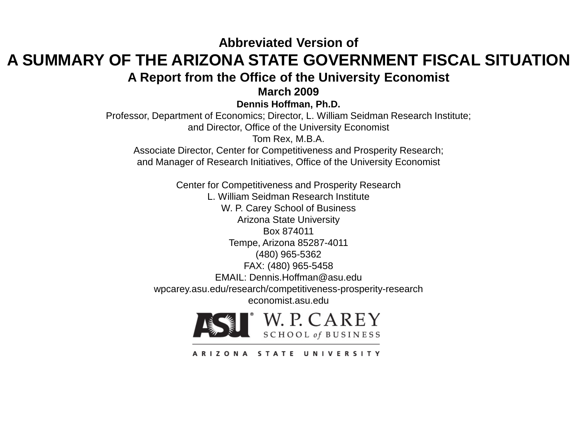#### **Abbreviated Version of A SUMMARY OF THE ARIZONA STATE GOVERNMENT FISCAL SITUATION A Report from the Office of the University Economist**

**March 2009**

**Dennis Hoffman, Ph.D.**

Professor, Department of Economics; Director, L. William Seidman Research Institute; and Director, Office of the University Economist

Tom Rex, M.B.A.

Associate Director, Center for Competitiveness and Prosperity Research; and Manager of Research Initiatives, Office of the University Economist

Center for Competitiveness and Prosperity Research L. William Seidman Research Institute W. P. Carey School of Business Arizona State University Box 874011 Tempe, Arizona 85287-4011 (480) 965-5362 FAX: (480) 965-5458 EMAIL: Dennis.Hoffman@asu.edu wpcarey.asu.edu/research/competitiveness-prosperity-research economist.asu.edu



ARIZONA STATE UNIVERSITY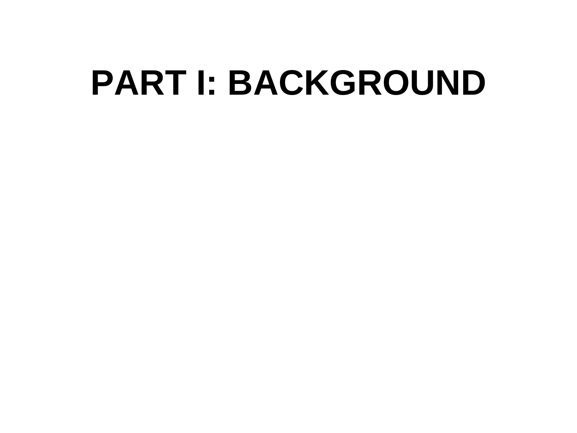# **PART I: BACKGROUND**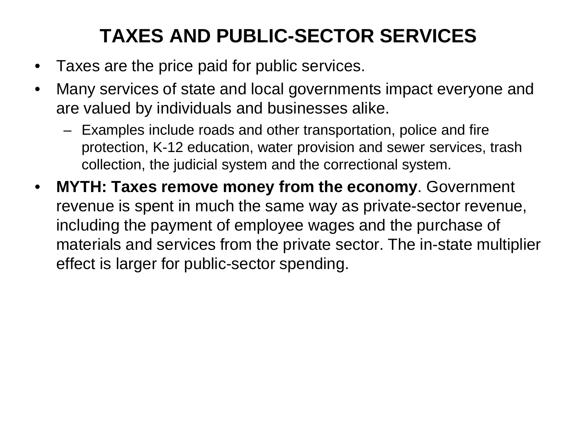# **TAXES AND PUBLIC-SECTOR SERVICES**

- Taxes are the price paid for public services.
- Many services of state and local governments impact everyone and are valued by individuals and businesses alike.
	- Examples include roads and other transportation, police and fire protection, K-12 education, water provision and sewer services, trash collection, the judicial system and the correctional system.
- **MYTH: Taxes remove money from the economy**. Government revenue is spent in much the same way as private-sector revenue, including the payment of employee wages and the purchase of materials and services from the private sector. The in-state multiplier effect is larger for public-sector spending.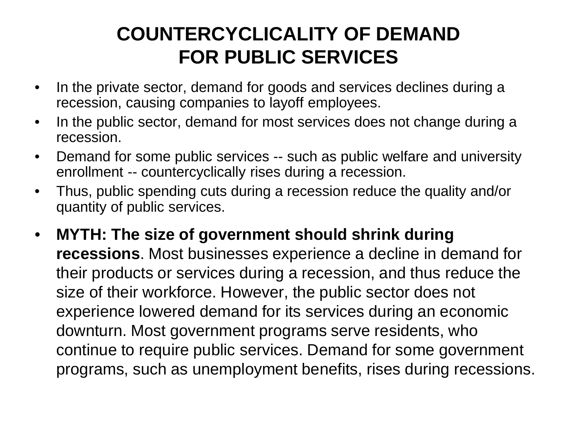#### **COUNTERCYCLICALITY OF DEMAND FOR PUBLIC SERVICES**

- In the private sector, demand for goods and services declines during a recession, causing companies to layoff employees.
- In the public sector, demand for most services does not change during a recession.
- Demand for some public services -- such as public welfare and university enrollment -- countercyclically rises during a recession.
- Thus, public spending cuts during a recession reduce the quality and/or quantity of public services.
- **MYTH: The size of government should shrink during recessions**. Most businesses experience a decline in demand for their products or services during a recession, and thus reduce the size of their workforce. However, the public sector does not experience lowered demand for its services during an economic downturn. Most government programs serve residents, who continue to require public services. Demand for some government programs, such as unemployment benefits, rises during recessions.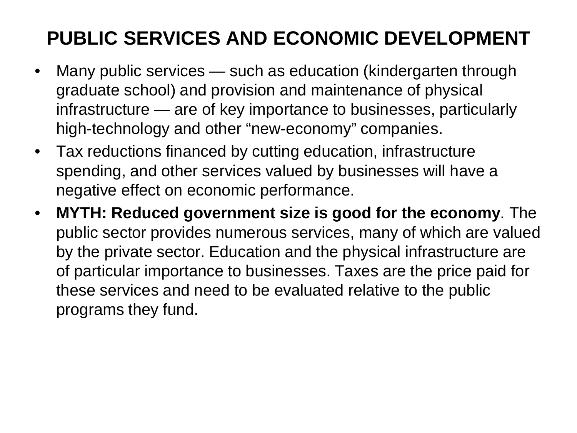# **PUBLIC SERVICES AND ECONOMIC DEVELOPMENT**

- Many public services such as education (kindergarten through graduate school) and provision and maintenance of physical infrastructure — are of key importance to businesses, particularly high-technology and other "new-economy" companies.
- Tax reductions financed by cutting education, infrastructure spending, and other services valued by businesses will have a negative effect on economic performance.
- **MYTH: Reduced government size is good for the economy**. The public sector provides numerous services, many of which are valued by the private sector. Education and the physical infrastructure are of particular importance to businesses. Taxes are the price paid for these services and need to be evaluated relative to the public programs they fund.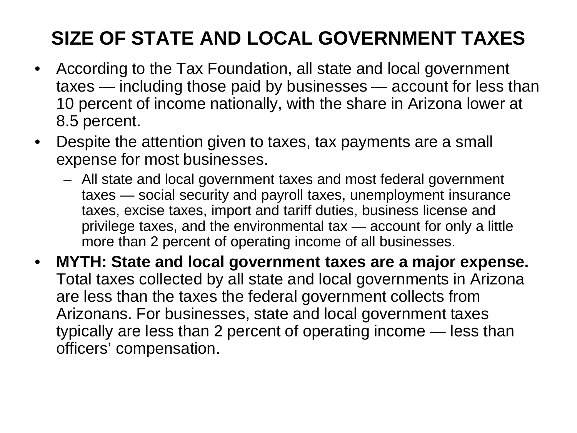# **SIZE OF STATE AND LOCAL GOVERNMENT TAXES**

- According to the Tax Foundation, all state and local government taxes — including those paid by businesses — account for less than 10 percent of income nationally, with the share in Arizona lower at 8.5 percent.
- Despite the attention given to taxes, tax payments are a small expense for most businesses.
	- All state and local government taxes and most federal government taxes — social security and payroll taxes, unemployment insurance taxes, excise taxes, import and tariff duties, business license and privilege taxes, and the environmental tax — account for only a little more than 2 percent of operating income of all businesses.
- **MYTH: State and local government taxes are a major expense.** Total taxes collected by all state and local governments in Arizona are less than the taxes the federal government collects from Arizonans. For businesses, state and local government taxes typically are less than 2 percent of operating income — less than officers' compensation.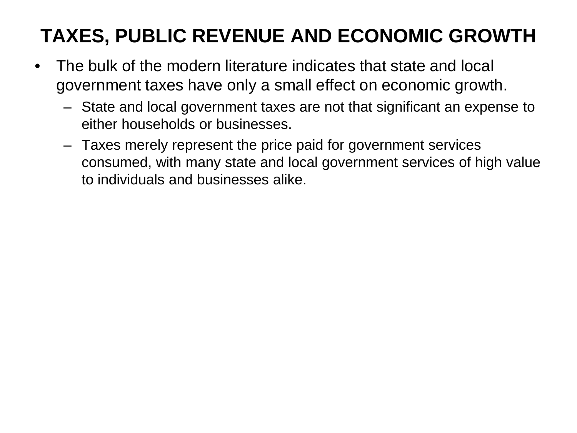# **TAXES, PUBLIC REVENUE AND ECONOMIC GROWTH**

- The bulk of the modern literature indicates that state and local government taxes have only a small effect on economic growth.
	- State and local government taxes are not that significant an expense to either households or businesses.
	- Taxes merely represent the price paid for government services consumed, with many state and local government services of high value to individuals and businesses alike.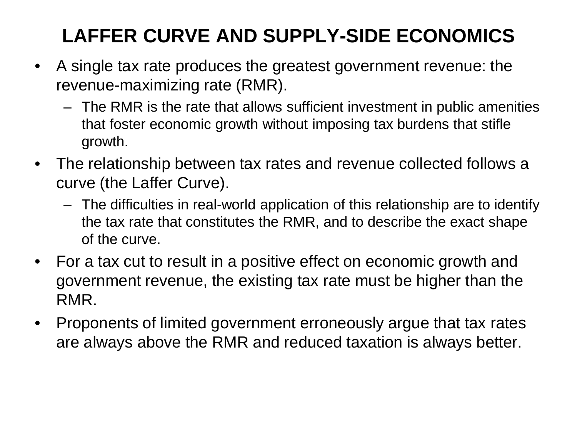# **LAFFER CURVE AND SUPPLY-SIDE ECONOMICS**

- A single tax rate produces the greatest government revenue: the revenue-maximizing rate (RMR).
	- The RMR is the rate that allows sufficient investment in public amenities that foster economic growth without imposing tax burdens that stifle growth.
- The relationship between tax rates and revenue collected follows a curve (the Laffer Curve).
	- The difficulties in real-world application of this relationship are to identify the tax rate that constitutes the RMR, and to describe the exact shape of the curve.
- For a tax cut to result in a positive effect on economic growth and government revenue, the existing tax rate must be higher than the RMR.
- Proponents of limited government erroneously argue that tax rates are always above the RMR and reduced taxation is always better.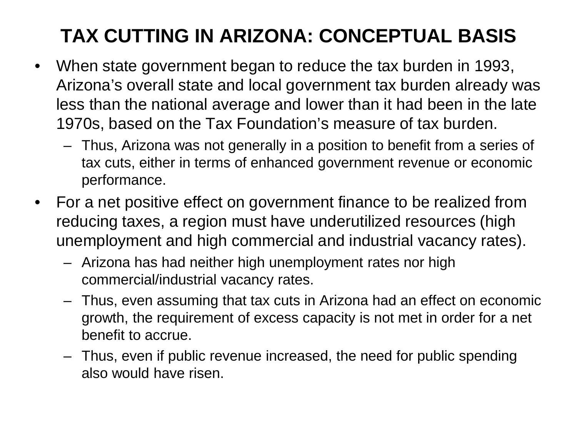# **TAX CUTTING IN ARIZONA: CONCEPTUAL BASIS**

- When state government began to reduce the tax burden in 1993, Arizona's overall state and local government tax burden already was less than the national average and lower than it had been in the late 1970s, based on the Tax Foundation's measure of tax burden.
	- Thus, Arizona was not generally in a position to benefit from a series of tax cuts, either in terms of enhanced government revenue or economic performance.
- For a net positive effect on government finance to be realized from reducing taxes, a region must have underutilized resources (high unemployment and high commercial and industrial vacancy rates).
	- Arizona has had neither high unemployment rates nor high commercial/industrial vacancy rates.
	- Thus, even assuming that tax cuts in Arizona had an effect on economic growth, the requirement of excess capacity is not met in order for a net benefit to accrue.
	- Thus, even if public revenue increased, the need for public spending also would have risen.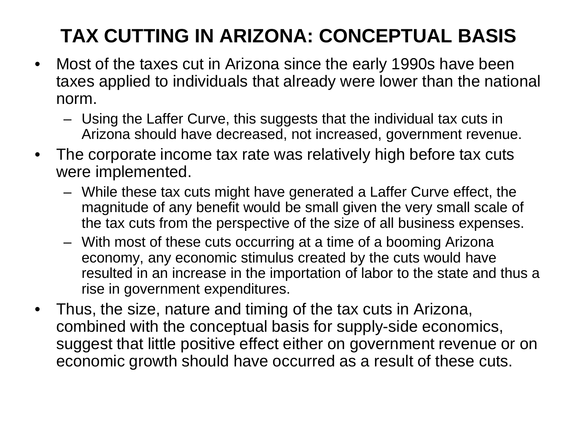# **TAX CUTTING IN ARIZONA: CONCEPTUAL BASIS**

- Most of the taxes cut in Arizona since the early 1990s have been taxes applied to individuals that already were lower than the national norm.
	- Using the Laffer Curve, this suggests that the individual tax cuts in Arizona should have decreased, not increased, government revenue.
- The corporate income tax rate was relatively high before tax cuts were implemented.
	- While these tax cuts might have generated a Laffer Curve effect, the magnitude of any benefit would be small given the very small scale of the tax cuts from the perspective of the size of all business expenses.
	- With most of these cuts occurring at a time of a booming Arizona economy, any economic stimulus created by the cuts would have resulted in an increase in the importation of labor to the state and thus a rise in government expenditures.
- Thus, the size, nature and timing of the tax cuts in Arizona, combined with the conceptual basis for supply-side economics, suggest that little positive effect either on government revenue or on economic growth should have occurred as a result of these cuts.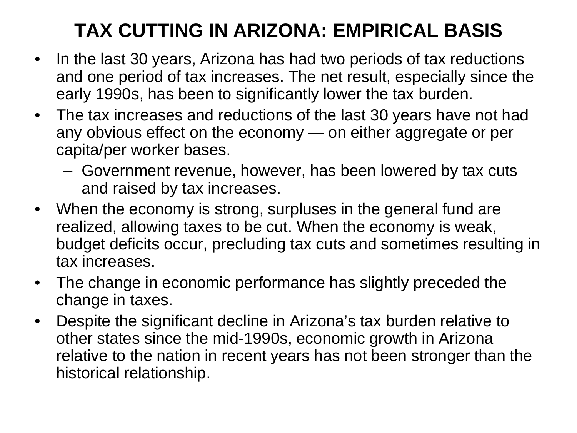#### **TAX CUTTING IN ARIZONA: EMPIRICAL BASIS**

- In the last 30 years, Arizona has had two periods of tax reductions and one period of tax increases. The net result, especially since the early 1990s, has been to significantly lower the tax burden.
- The tax increases and reductions of the last 30 years have not had any obvious effect on the economy — on either aggregate or per capita/per worker bases.
	- Government revenue, however, has been lowered by tax cuts and raised by tax increases.
- When the economy is strong, surpluses in the general fund are realized, allowing taxes to be cut. When the economy is weak, budget deficits occur, precluding tax cuts and sometimes resulting in tax increases.
- The change in economic performance has slightly preceded the change in taxes.
- Despite the significant decline in Arizona's tax burden relative to other states since the mid-1990s, economic growth in Arizona relative to the nation in recent years has not been stronger than the historical relationship.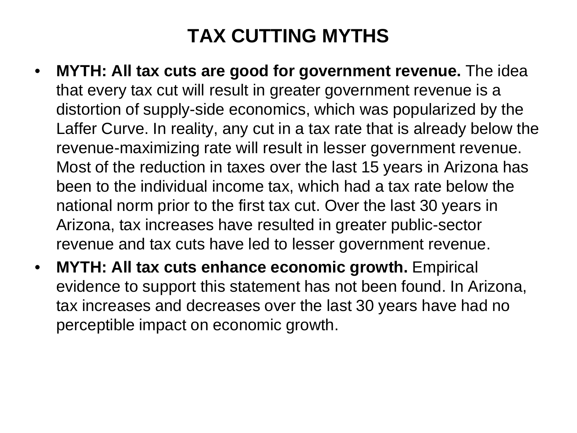# **TAX CUTTING MYTHS**

- **MYTH: All tax cuts are good for government revenue.** The idea that every tax cut will result in greater government revenue is a distortion of supply-side economics, which was popularized by the Laffer Curve. In reality, any cut in a tax rate that is already below the revenue-maximizing rate will result in lesser government revenue. Most of the reduction in taxes over the last 15 years in Arizona has been to the individual income tax, which had a tax rate below the national norm prior to the first tax cut. Over the last 30 years in Arizona, tax increases have resulted in greater public-sector revenue and tax cuts have led to lesser government revenue.
- **MYTH: All tax cuts enhance economic growth.** Empirical evidence to support this statement has not been found. In Arizona, tax increases and decreases over the last 30 years have had no perceptible impact on economic growth.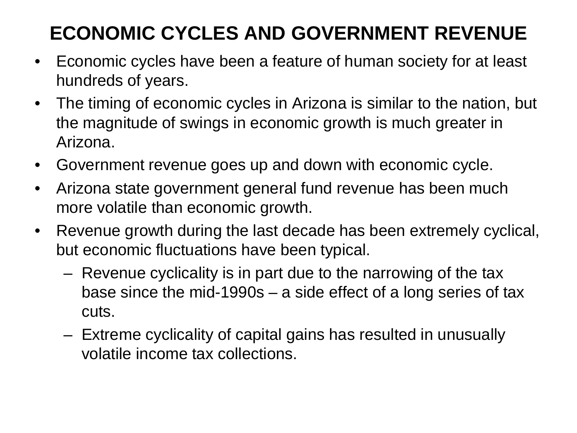# **ECONOMIC CYCLES AND GOVERNMENT REVENUE**

- Economic cycles have been a feature of human society for at least hundreds of years.
- The timing of economic cycles in Arizona is similar to the nation, but the magnitude of swings in economic growth is much greater in Arizona.
- Government revenue goes up and down with economic cycle.
- Arizona state government general fund revenue has been much more volatile than economic growth.
- Revenue growth during the last decade has been extremely cyclical, but economic fluctuations have been typical.
	- Revenue cyclicality is in part due to the narrowing of the tax base since the mid-1990s – a side effect of a long series of tax cuts.
	- Extreme cyclicality of capital gains has resulted in unusually volatile income tax collections.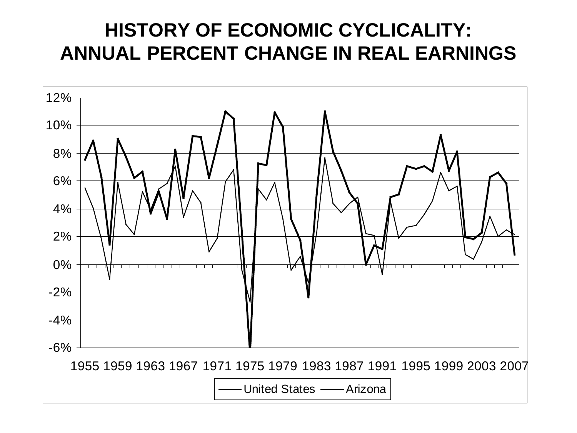#### **HISTORY OF ECONOMIC CYCLICALITY: ANNUAL PERCENT CHANGE IN REAL EARNINGS**

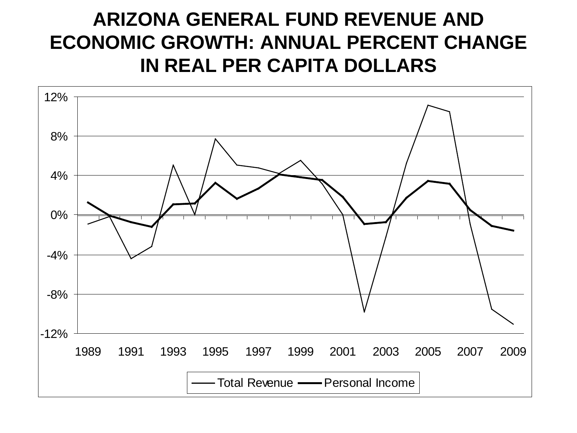#### **ARIZONA GENERAL FUND REVENUE AND ECONOMIC GROWTH: ANNUAL PERCENT CHANGE IN REAL PER CAPITA DOLLARS**

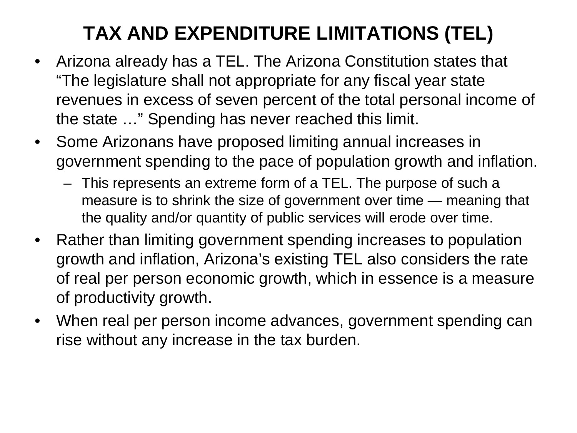## **TAX AND EXPENDITURE LIMITATIONS (TEL)**

- Arizona already has a TEL. The Arizona Constitution states that "The legislature shall not appropriate for any fiscal year state revenues in excess of seven percent of the total personal income of the state …" Spending has never reached this limit.
- Some Arizonans have proposed limiting annual increases in government spending to the pace of population growth and inflation.
	- This represents an extreme form of a TEL. The purpose of such a measure is to shrink the size of government over time — meaning that the quality and/or quantity of public services will erode over time.
- Rather than limiting government spending increases to population growth and inflation, Arizona's existing TEL also considers the rate of real per person economic growth, which in essence is a measure of productivity growth.
- When real per person income advances, government spending can rise without any increase in the tax burden.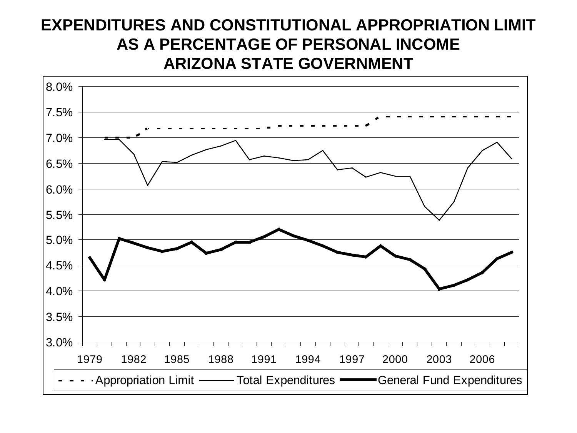#### **EXPENDITURES AND CONSTITUTIONAL APPROPRIATION LIMIT AS A PERCENTAGE OF PERSONAL INCOME ARIZONA STATE GOVERNMENT**

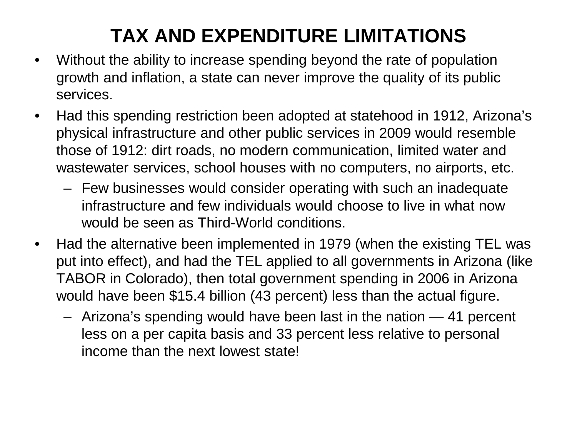# **TAX AND EXPENDITURE LIMITATIONS**

- Without the ability to increase spending beyond the rate of population growth and inflation, a state can never improve the quality of its public services.
- Had this spending restriction been adopted at statehood in 1912, Arizona's physical infrastructure and other public services in 2009 would resemble those of 1912: dirt roads, no modern communication, limited water and wastewater services, school houses with no computers, no airports, etc.
	- Few businesses would consider operating with such an inadequate infrastructure and few individuals would choose to live in what now would be seen as Third-World conditions.
- Had the alternative been implemented in 1979 (when the existing TEL was put into effect), and had the TEL applied to all governments in Arizona (like TABOR in Colorado), then total government spending in 2006 in Arizona would have been \$15.4 billion (43 percent) less than the actual figure.
	- Arizona's spending would have been last in the nation 41 percent less on a per capita basis and 33 percent less relative to personal income than the next lowest state!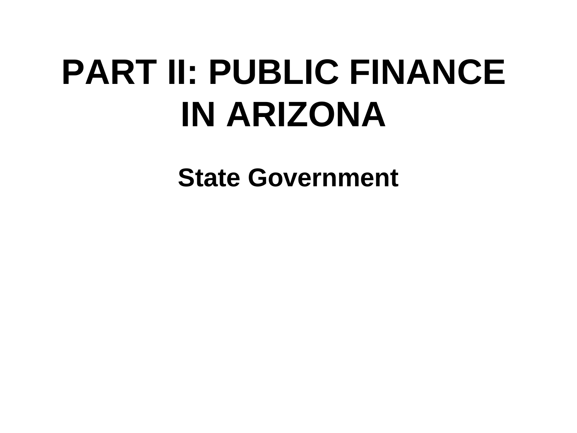# **PART II: PUBLIC FINANCE IN ARIZONA**

**State Government**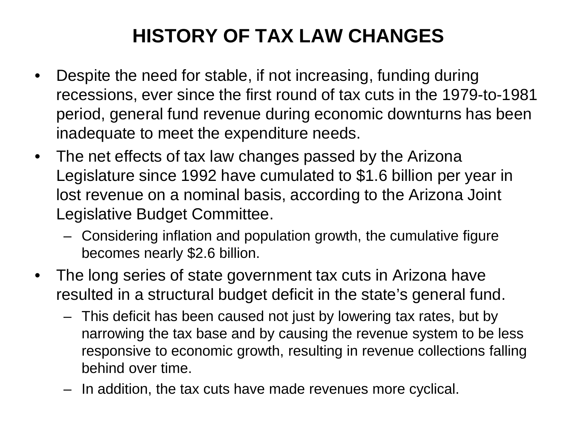# **HISTORY OF TAX LAW CHANGES**

- Despite the need for stable, if not increasing, funding during recessions, ever since the first round of tax cuts in the 1979-to-1981 period, general fund revenue during economic downturns has been inadequate to meet the expenditure needs.
- The net effects of tax law changes passed by the Arizona Legislature since 1992 have cumulated to \$1.6 billion per year in lost revenue on a nominal basis, according to the Arizona Joint Legislative Budget Committee.
	- Considering inflation and population growth, the cumulative figure becomes nearly \$2.6 billion.
- The long series of state government tax cuts in Arizona have resulted in a structural budget deficit in the state's general fund.
	- This deficit has been caused not just by lowering tax rates, but by narrowing the tax base and by causing the revenue system to be less responsive to economic growth, resulting in revenue collections falling behind over time.
	- In addition, the tax cuts have made revenues more cyclical.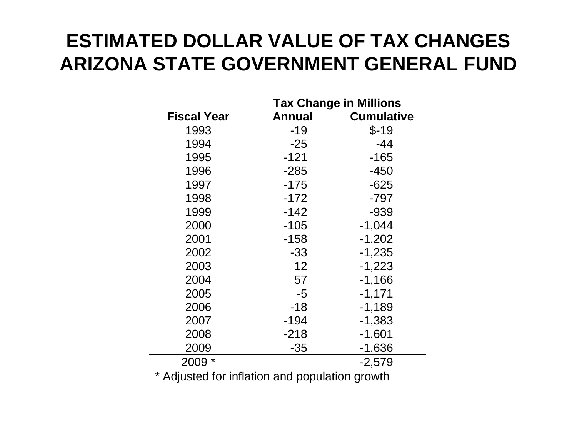#### **ESTIMATED DOLLAR VALUE OF TAX CHANGES ARIZONA STATE GOVERNMENT GENERAL FUND**

|                    | <b>Tax Change in Millions</b> |                   |  |  |  |
|--------------------|-------------------------------|-------------------|--|--|--|
| <b>Fiscal Year</b> | <b>Annual</b>                 | <b>Cumulative</b> |  |  |  |
| 1993               | -19                           | $$-19$            |  |  |  |
| 1994               | $-25$                         | $-44$             |  |  |  |
| 1995               | $-121$                        | $-165$            |  |  |  |
| 1996               | $-285$                        | $-450$            |  |  |  |
| 1997               | $-175$                        | $-625$            |  |  |  |
| 1998               | $-172$                        | $-797$            |  |  |  |
| 1999               | $-142$                        | $-939$            |  |  |  |
| 2000               | $-105$                        | $-1,044$          |  |  |  |
| 2001               | $-158$                        | $-1,202$          |  |  |  |
| 2002               | -33                           | $-1,235$          |  |  |  |
| 2003               | 12                            | $-1,223$          |  |  |  |
| 2004               | 57                            | $-1,166$          |  |  |  |
| 2005               | $-5$                          | $-1,171$          |  |  |  |
| 2006               | $-18$                         | $-1,189$          |  |  |  |
| 2007               | $-194$                        | $-1,383$          |  |  |  |
| 2008               | $-218$                        | $-1,601$          |  |  |  |
| 2009               | $-35$                         | $-1,636$          |  |  |  |
| 2009 *             |                               | $-2,579$          |  |  |  |

\* Adjusted for inflation and population growth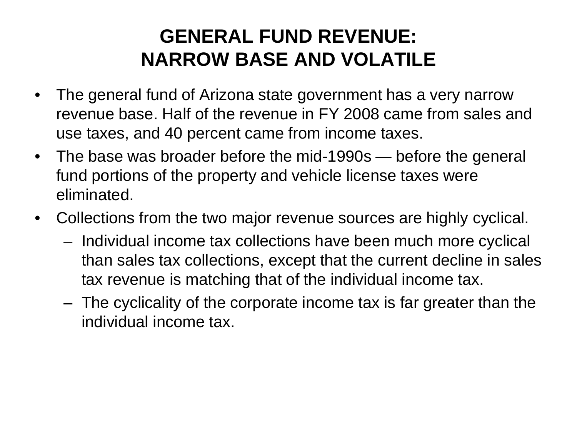#### **GENERAL FUND REVENUE: NARROW BASE AND VOLATILE**

- The general fund of Arizona state government has a very narrow revenue base. Half of the revenue in FY 2008 came from sales and use taxes, and 40 percent came from income taxes.
- The base was broader before the mid-1990s before the general fund portions of the property and vehicle license taxes were eliminated.
- Collections from the two major revenue sources are highly cyclical.
	- Individual income tax collections have been much more cyclical than sales tax collections, except that the current decline in sales tax revenue is matching that of the individual income tax.
	- The cyclicality of the corporate income tax is far greater than the individual income tax.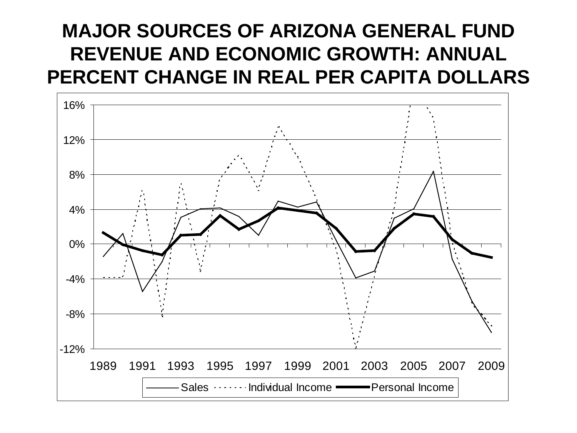#### **MAJOR SOURCES OF ARIZONA GENERAL FUND REVENUE AND ECONOMIC GROWTH: ANNUAL PERCENT CHANGE IN REAL PER CAPITA DOLLARS**

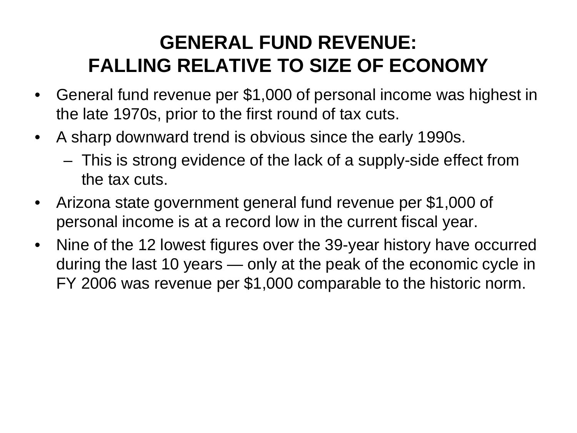### **GENERAL FUND REVENUE: FALLING RELATIVE TO SIZE OF ECONOMY**

- General fund revenue per \$1,000 of personal income was highest in the late 1970s, prior to the first round of tax cuts.
- A sharp downward trend is obvious since the early 1990s.
	- This is strong evidence of the lack of a supply-side effect from the tax cuts.
- Arizona state government general fund revenue per \$1,000 of personal income is at a record low in the current fiscal year.
- Nine of the 12 lowest figures over the 39-year history have occurred during the last 10 years — only at the peak of the economic cycle in FY 2006 was revenue per \$1,000 comparable to the historic norm.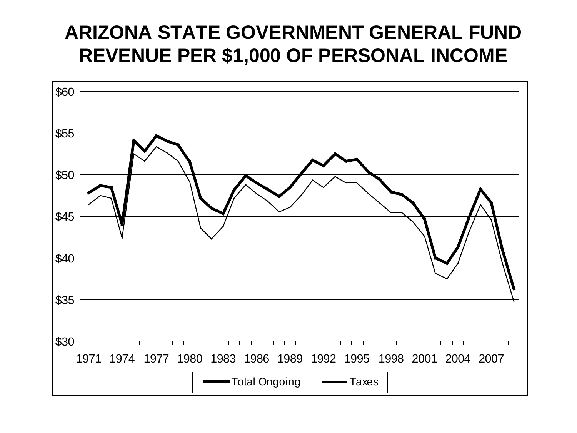#### **ARIZONA STATE GOVERNMENT GENERAL FUND REVENUE PER \$1,000 OF PERSONAL INCOME**

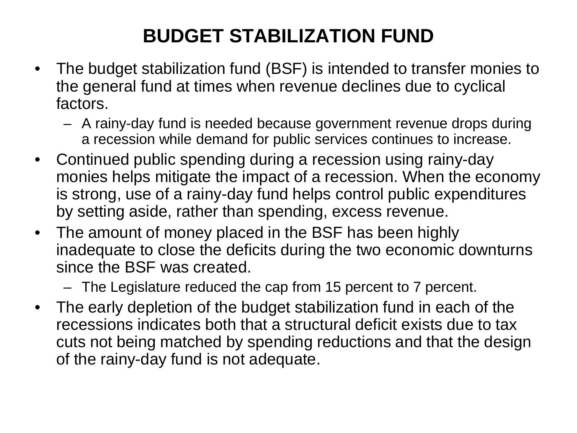# **BUDGET STABILIZATION FUND**

- The budget stabilization fund (BSF) is intended to transfer monies to the general fund at times when revenue declines due to cyclical factors.
	- A rainy-day fund is needed because government revenue drops during a recession while demand for public services continues to increase.
- Continued public spending during a recession using rainy-day monies helps mitigate the impact of a recession. When the economy is strong, use of a rainy-day fund helps control public expenditures by setting aside, rather than spending, excess revenue.
- The amount of money placed in the BSF has been highly inadequate to close the deficits during the two economic downturns since the BSF was created.
	- The Legislature reduced the cap from 15 percent to 7 percent.
- The early depletion of the budget stabilization fund in each of the recessions indicates both that a structural deficit exists due to tax cuts not being matched by spending reductions and that the design of the rainy-day fund is not adequate.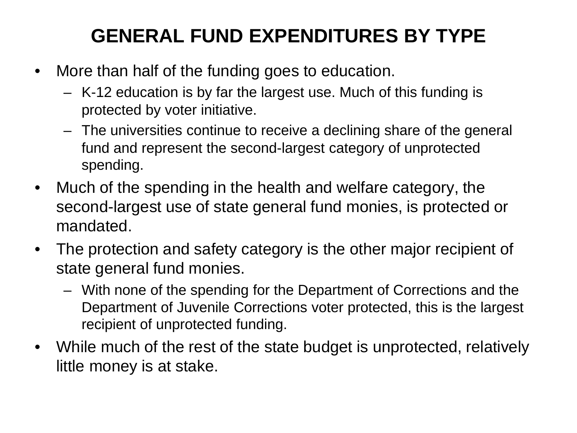# **GENERAL FUND EXPENDITURES BY TYPE**

- More than half of the funding goes to education.
	- K-12 education is by far the largest use. Much of this funding is protected by voter initiative.
	- The universities continue to receive a declining share of the general fund and represent the second-largest category of unprotected spending.
- Much of the spending in the health and welfare category, the second-largest use of state general fund monies, is protected or mandated.
- The protection and safety category is the other major recipient of state general fund monies.
	- With none of the spending for the Department of Corrections and the Department of Juvenile Corrections voter protected, this is the largest recipient of unprotected funding.
- While much of the rest of the state budget is unprotected, relatively little money is at stake.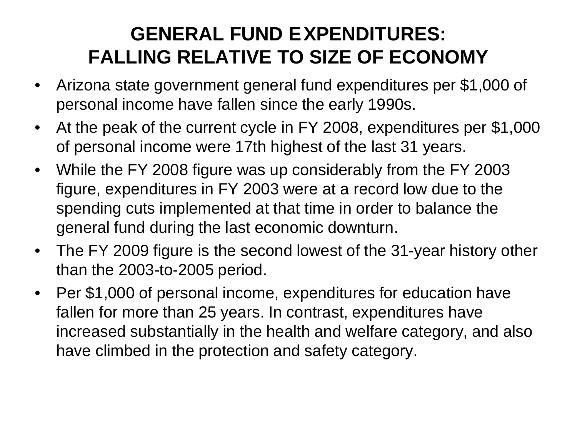### **GENERAL FUND EXPENDITURES: FALLING RELATIVE TO SIZE OF ECONOMY**

- Arizona state government general fund expenditures per \$1,000 of personal income have fallen since the early 1990s.
- At the peak of the current cycle in FY 2008, expenditures per \$1,000 of personal income were 17th highest of the last 31 years.
- While the FY 2008 figure was up considerably from the FY 2003 figure, expenditures in FY 2003 were at a record low due to the spending cuts implemented at that time in order to balance the general fund during the last economic downturn.
- The FY 2009 figure is the second lowest of the 31-year history other than the 2003-to-2005 period.
- Per \$1,000 of personal income, expenditures for education have fallen for more than 25 years. In contrast, expenditures have increased substantially in the health and welfare category, and also have climbed in the protection and safety category.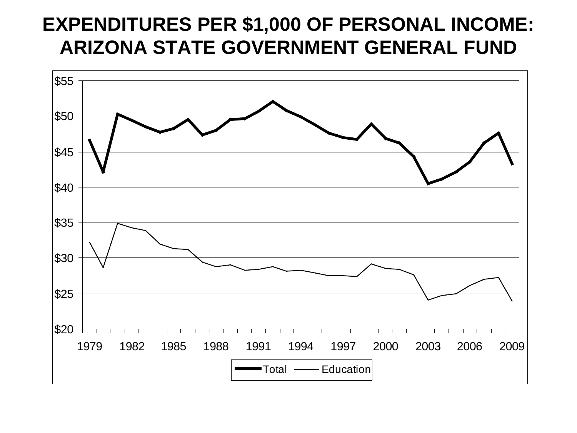#### **EXPENDITURES PER \$1,000 OF PERSONAL INCOME: ARIZONA STATE GOVERNMENT GENERAL FUND**

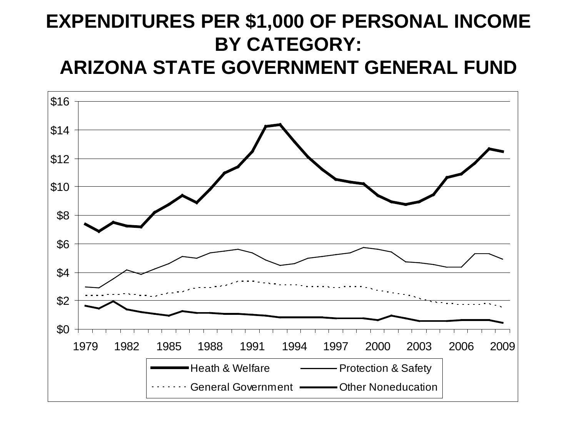#### **EXPENDITURES PER \$1,000 OF PERSONAL INCOME BY CATEGORY: ARIZONA STATE GOVERNMENT GENERAL FUND**

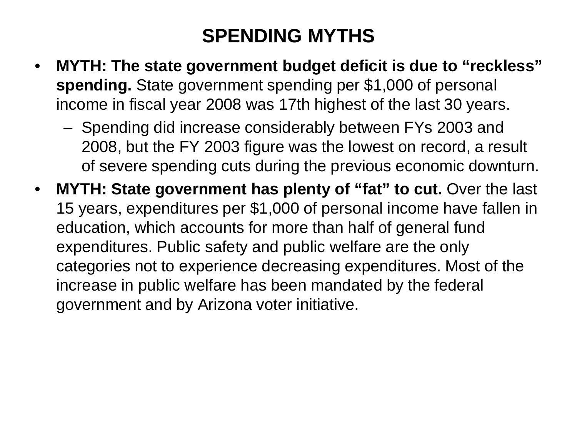#### **SPENDING MYTHS**

- **MYTH: The state government budget deficit is due to "reckless" spending.** State government spending per \$1,000 of personal income in fiscal year 2008 was 17th highest of the last 30 years.
	- Spending did increase considerably between FYs 2003 and 2008, but the FY 2003 figure was the lowest on record, a result of severe spending cuts during the previous economic downturn.
- **MYTH: State government has plenty of "fat" to cut.** Over the last 15 years, expenditures per \$1,000 of personal income have fallen in education, which accounts for more than half of general fund expenditures. Public safety and public welfare are the only categories not to experience decreasing expenditures. Most of the increase in public welfare has been mandated by the federal government and by Arizona voter initiative.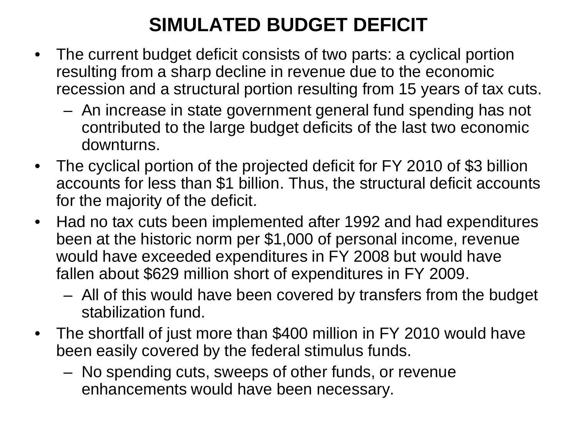## **SIMULATED BUDGET DEFICIT**

- The current budget deficit consists of two parts: a cyclical portion resulting from a sharp decline in revenue due to the economic recession and a structural portion resulting from 15 years of tax cuts.
	- An increase in state government general fund spending has not contributed to the large budget deficits of the last two economic downturns.
- The cyclical portion of the projected deficit for FY 2010 of \$3 billion accounts for less than \$1 billion. Thus, the structural deficit accounts for the majority of the deficit.
- Had no tax cuts been implemented after 1992 and had expenditures been at the historic norm per \$1,000 of personal income, revenue would have exceeded expenditures in FY 2008 but would have fallen about \$629 million short of expenditures in FY 2009.
	- All of this would have been covered by transfers from the budget stabilization fund.
- The shortfall of just more than \$400 million in FY 2010 would have been easily covered by the federal stimulus funds.
	- No spending cuts, sweeps of other funds, or revenue enhancements would have been necessary.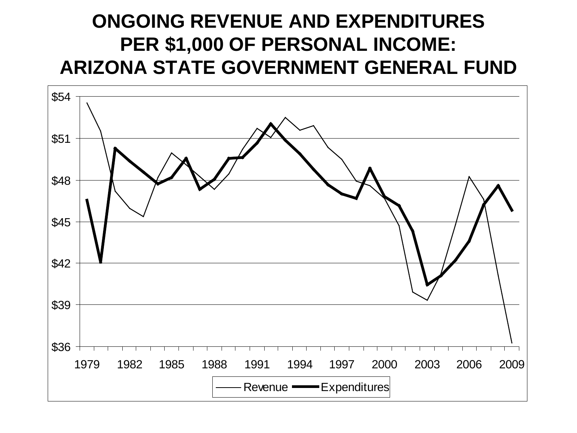#### **ONGOING REVENUE AND EXPENDITURES PER \$1,000 OF PERSONAL INCOME: ARIZONA STATE GOVERNMENT GENERAL FUND**

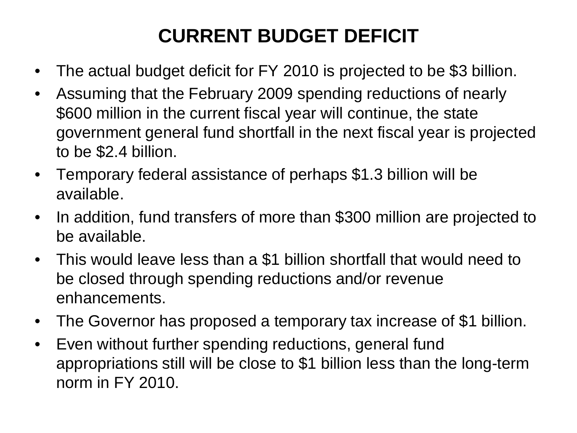# **CURRENT BUDGET DEFICIT**

- The actual budget deficit for FY 2010 is projected to be \$3 billion.
- Assuming that the February 2009 spending reductions of nearly \$600 million in the current fiscal year will continue, the state government general fund shortfall in the next fiscal year is projected to be \$2.4 billion.
- Temporary federal assistance of perhaps \$1.3 billion will be available.
- In addition, fund transfers of more than \$300 million are projected to be available.
- This would leave less than a \$1 billion shortfall that would need to be closed through spending reductions and/or revenue enhancements.
- The Governor has proposed a temporary tax increase of \$1 billion.
- Even without further spending reductions, general fund appropriations still will be close to \$1 billion less than the long-term norm in FY 2010.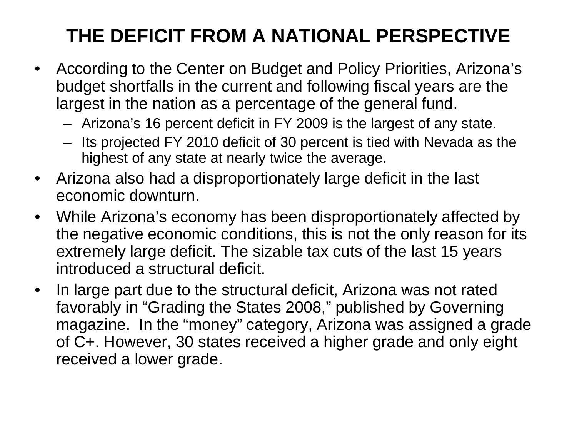# **THE DEFICIT FROM A NATIONAL PERSPECTIVE**

- According to the Center on Budget and Policy Priorities, Arizona's budget shortfalls in the current and following fiscal years are the largest in the nation as a percentage of the general fund.
	- Arizona's 16 percent deficit in FY 2009 is the largest of any state.
	- Its projected FY 2010 deficit of 30 percent is tied with Nevada as the highest of any state at nearly twice the average.
- Arizona also had a disproportionately large deficit in the last economic downturn.
- While Arizona's economy has been disproportionately affected by the negative economic conditions, this is not the only reason for its extremely large deficit. The sizable tax cuts of the last 15 years introduced a structural deficit.
- In large part due to the structural deficit, Arizona was not rated favorably in "Grading the States 2008," published by Governing magazine. In the "money" category, Arizona was assigned a grade of C+. However, 30 states received a higher grade and only eight received a lower grade.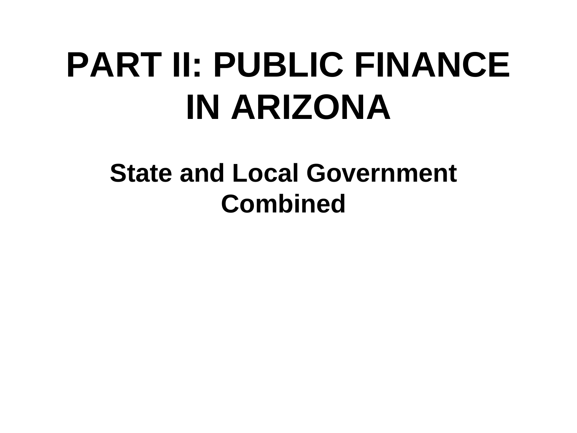# **PART II: PUBLIC FINANCE IN ARIZONA**

# **State and Local Government Combined**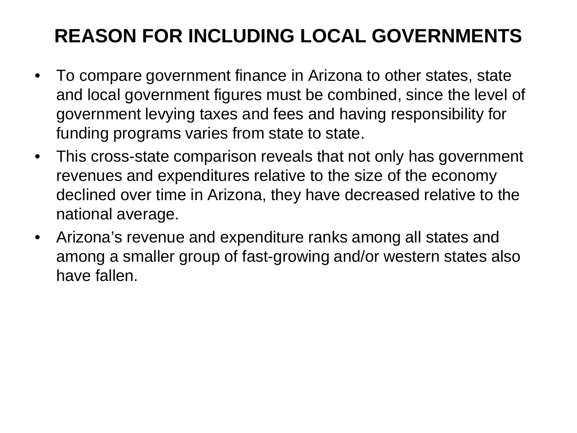## **REASON FOR INCLUDING LOCAL GOVERNMENTS**

- To compare government finance in Arizona to other states, state and local government figures must be combined, since the level of government levying taxes and fees and having responsibility for funding programs varies from state to state.
- This cross-state comparison reveals that not only has government revenues and expenditures relative to the size of the economy declined over time in Arizona, they have decreased relative to the national average.
- Arizona's revenue and expenditure ranks among all states and among a smaller group of fast-growing and/or western states also have fallen.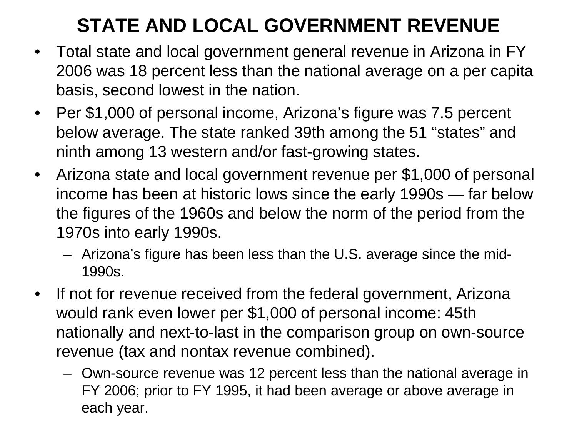# **STATE AND LOCAL GOVERNMENT REVENUE**

- Total state and local government general revenue in Arizona in FY 2006 was 18 percent less than the national average on a per capita basis, second lowest in the nation.
- Per \$1,000 of personal income, Arizona's figure was 7.5 percent below average. The state ranked 39th among the 51 "states" and ninth among 13 western and/or fast-growing states.
- Arizona state and local government revenue per \$1,000 of personal income has been at historic lows since the early 1990s — far below the figures of the 1960s and below the norm of the period from the 1970s into early 1990s.
	- Arizona's figure has been less than the U.S. average since the mid-1990s.
- If not for revenue received from the federal government, Arizona would rank even lower per \$1,000 of personal income: 45th nationally and next-to-last in the comparison group on own-source revenue (tax and nontax revenue combined).
	- Own-source revenue was 12 percent less than the national average in FY 2006; prior to FY 1995, it had been average or above average in each year.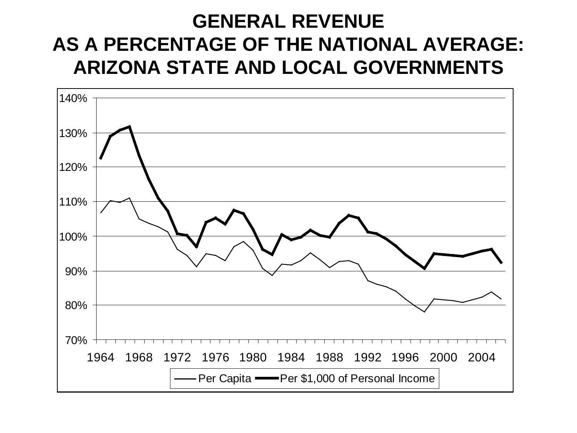#### **GENERAL REVENUE AS A PERCENTAGE OF THE NATIONAL AVERAGE: ARIZONA STATE AND LOCAL GOVERNMENTS**

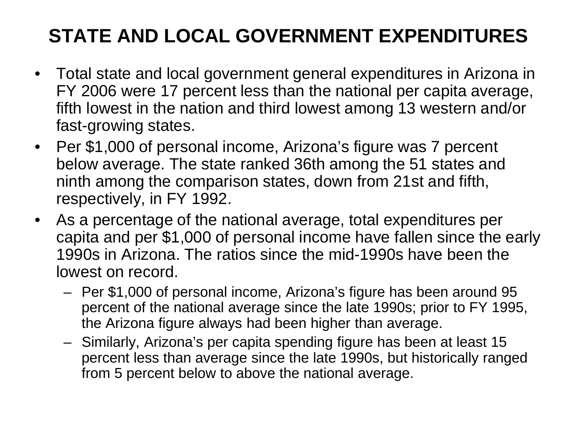# **STATE AND LOCAL GOVERNMENT EXPENDITURES**

- Total state and local government general expenditures in Arizona in FY 2006 were 17 percent less than the national per capita average, fifth lowest in the nation and third lowest among 13 western and/or fast-growing states.
- Per \$1,000 of personal income, Arizona's figure was 7 percent below average. The state ranked 36th among the 51 states and ninth among the comparison states, down from 21st and fifth, respectively, in FY 1992.
- As a percentage of the national average, total expenditures per capita and per \$1,000 of personal income have fallen since the early 1990s in Arizona. The ratios since the mid-1990s have been the lowest on record.
	- Per \$1,000 of personal income, Arizona's figure has been around 95 percent of the national average since the late 1990s; prior to FY 1995, the Arizona figure always had been higher than average.
	- Similarly, Arizona's per capita spending figure has been at least 15 percent less than average since the late 1990s, but historically ranged from 5 percent below to above the national average.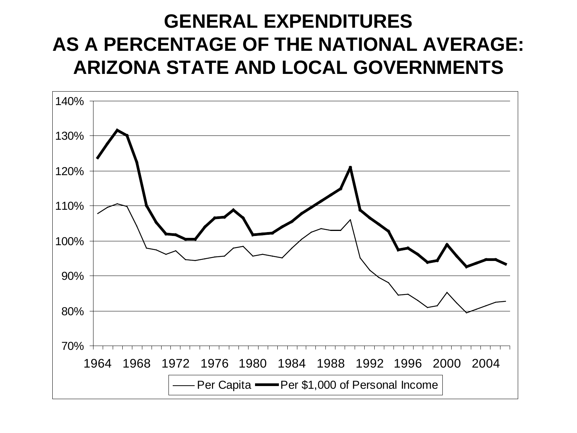#### **GENERAL EXPENDITURES AS A PERCENTAGE OF THE NATIONAL AVERAGE: ARIZONA STATE AND LOCAL GOVERNMENTS**

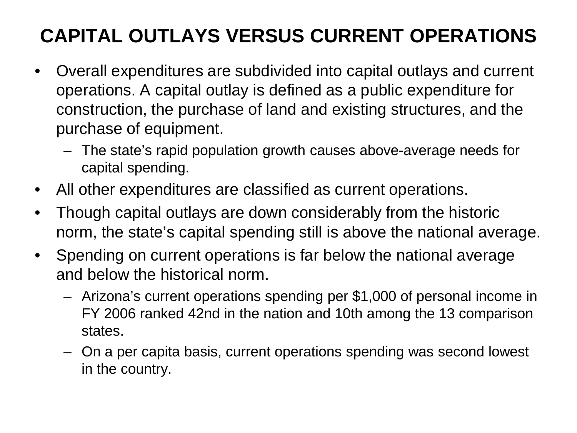# **CAPITAL OUTLAYS VERSUS CURRENT OPERATIONS**

- Overall expenditures are subdivided into capital outlays and current operations. A capital outlay is defined as a public expenditure for construction, the purchase of land and existing structures, and the purchase of equipment.
	- The state's rapid population growth causes above-average needs for capital spending.
- All other expenditures are classified as current operations.
- Though capital outlays are down considerably from the historic norm, the state's capital spending still is above the national average.
- Spending on current operations is far below the national average and below the historical norm.
	- Arizona's current operations spending per \$1,000 of personal income in FY 2006 ranked 42nd in the nation and 10th among the 13 comparison states.
	- On a per capita basis, current operations spending was second lowest in the country.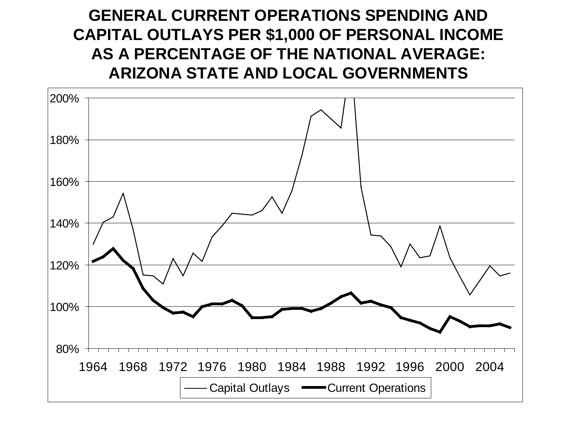#### **GENERAL CURRENT OPERATIONS SPENDING AND CAPITAL OUTLAYS PER \$1,000 OF PERSONAL INCOME AS A PERCENTAGE OF THE NATIONAL AVERAGE: ARIZONA STATE AND LOCAL GOVERNMENTS**

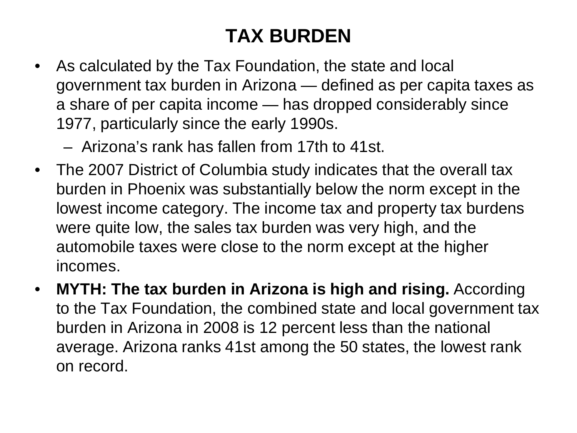## **TAX BURDEN**

• As calculated by the Tax Foundation, the state and local government tax burden in Arizona — defined as per capita taxes as a share of per capita income — has dropped considerably since 1977, particularly since the early 1990s.

– Arizona's rank has fallen from 17th to 41st.

- The 2007 District of Columbia study indicates that the overall tax burden in Phoenix was substantially below the norm except in the lowest income category. The income tax and property tax burdens were quite low, the sales tax burden was very high, and the automobile taxes were close to the norm except at the higher incomes.
- **MYTH: The tax burden in Arizona is high and rising.** According to the Tax Foundation, the combined state and local government tax burden in Arizona in 2008 is 12 percent less than the national average. Arizona ranks 41st among the 50 states, the lowest rank on record.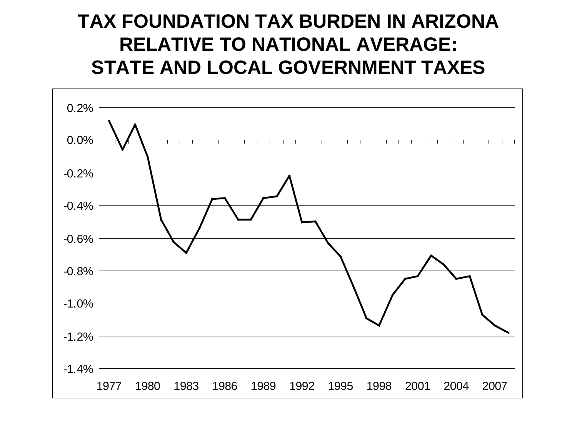#### **TAX FOUNDATION TAX BURDEN IN ARIZONA RELATIVE TO NATIONAL AVERAGE: STATE AND LOCAL GOVERNMENT TAXES**

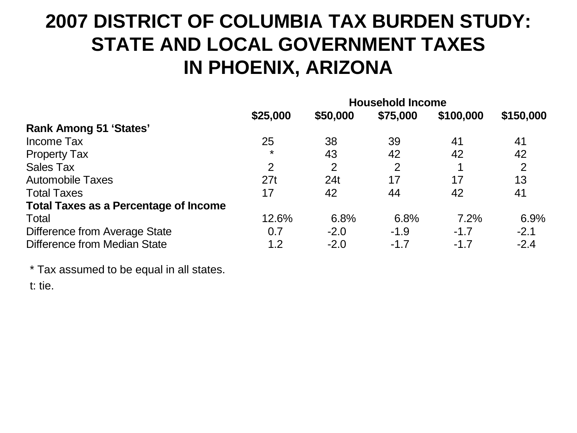#### **2007 DISTRICT OF COLUMBIA TAX BURDEN STUDY: STATE AND LOCAL GOVERNMENT TAXES IN PHOENIX, ARIZONA**

|                                              | <b>Household Income</b> |          |          |           |           |
|----------------------------------------------|-------------------------|----------|----------|-----------|-----------|
|                                              | \$25,000                | \$50,000 | \$75,000 | \$100,000 | \$150,000 |
| <b>Rank Among 51 'States'</b>                |                         |          |          |           |           |
| Income Tax                                   | 25                      | 38       | 39       | 41        | 41        |
| <b>Property Tax</b>                          | $\star$                 | 43       | 42       | 42        | 42        |
| Sales Tax                                    | 2                       | 2        | 2        | 1         | 2         |
| <b>Automobile Taxes</b>                      | 27t                     | 24t      | 17       | 17        | 13        |
| <b>Total Taxes</b>                           | 17                      | 42       | 44       | 42        | 41        |
| <b>Total Taxes as a Percentage of Income</b> |                         |          |          |           |           |
| Total                                        | 12.6%                   | 6.8%     | 6.8%     | 7.2%      | 6.9%      |
| Difference from Average State                | 0.7                     | $-2.0$   | $-1.9$   | $-1.7$    | $-2.1$    |
| Difference from Median State                 | 1.2                     | $-2.0$   | $-1.7$   | $-1.7$    | $-2.4$    |

\* Tax assumed to be equal in all states.

t: tie.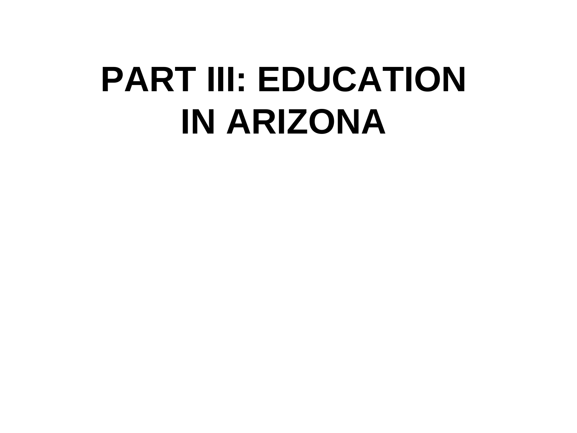# **PART III: EDUCATION IN ARIZONA**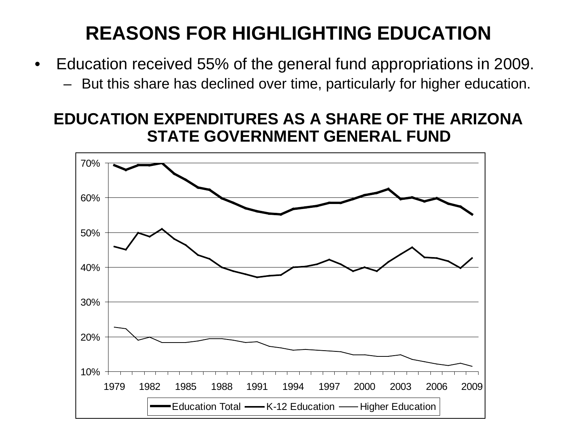#### **REASONS FOR HIGHLIGHTING EDUCATION**

- Education received 55% of the general fund appropriations in 2009.
	- But this share has declined over time, particularly for higher education.

#### **EDUCATION EXPENDITURES AS A SHARE OF THE ARIZONA STATE GOVERNMENT GENERAL FUND**

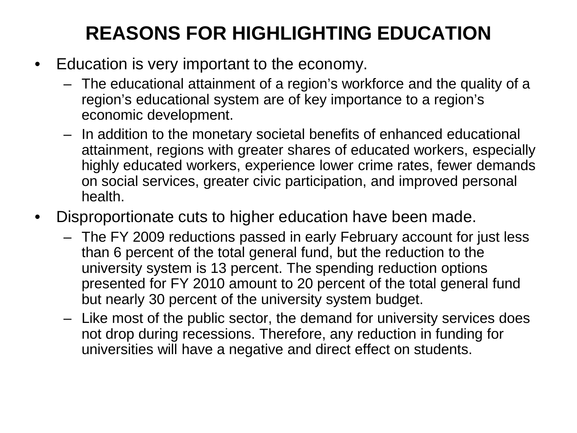### **REASONS FOR HIGHLIGHTING EDUCATION**

- Education is very important to the economy.
	- The educational attainment of a region's workforce and the quality of a region's educational system are of key importance to a region's economic development.
	- In addition to the monetary societal benefits of enhanced educational attainment, regions with greater shares of educated workers, especially highly educated workers, experience lower crime rates, fewer demands on social services, greater civic participation, and improved personal health.
- Disproportionate cuts to higher education have been made.
	- The FY 2009 reductions passed in early February account for just less than 6 percent of the total general fund, but the reduction to the university system is 13 percent. The spending reduction options presented for FY 2010 amount to 20 percent of the total general fund but nearly 30 percent of the university system budget.
	- Like most of the public sector, the demand for university services does not drop during recessions. Therefore, any reduction in funding for universities will have a negative and direct effect on students.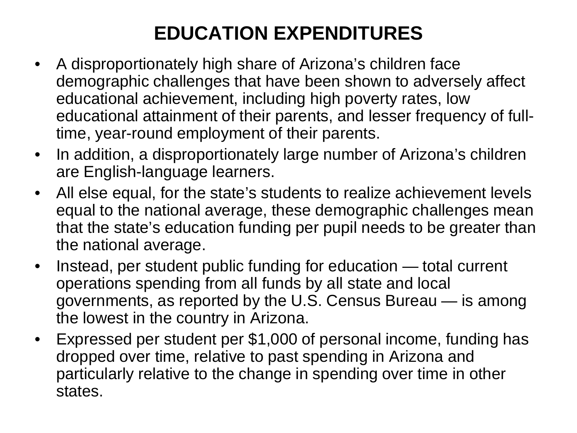## **EDUCATION EXPENDITURES**

- A disproportionately high share of Arizona's children face demographic challenges that have been shown to adversely affect educational achievement, including high poverty rates, low educational attainment of their parents, and lesser frequency of fulltime, year-round employment of their parents.
- In addition, a disproportionately large number of Arizona's children are English-language learners.
- All else equal, for the state's students to realize achievement levels equal to the national average, these demographic challenges mean that the state's education funding per pupil needs to be greater than the national average.
- Instead, per student public funding for education total current operations spending from all funds by all state and local governments, as reported by the U.S. Census Bureau — is among the lowest in the country in Arizona.
- Expressed per student per \$1,000 of personal income, funding has dropped over time, relative to past spending in Arizona and particularly relative to the change in spending over time in other states.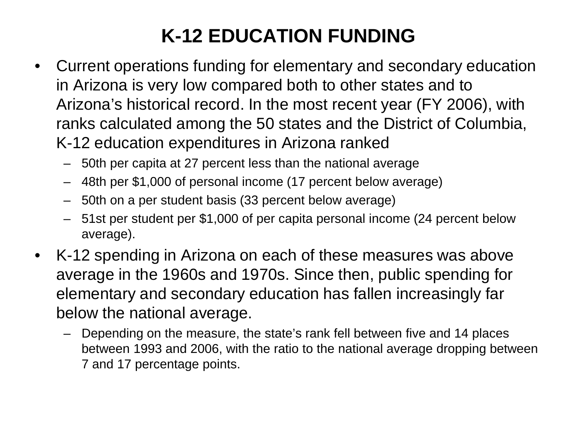# **K-12 EDUCATION FUNDING**

- Current operations funding for elementary and secondary education in Arizona is very low compared both to other states and to Arizona's historical record. In the most recent year (FY 2006), with ranks calculated among the 50 states and the District of Columbia, K-12 education expenditures in Arizona ranked
	- 50th per capita at 27 percent less than the national average
	- 48th per \$1,000 of personal income (17 percent below average)
	- 50th on a per student basis (33 percent below average)
	- 51st per student per \$1,000 of per capita personal income (24 percent below average).
- K-12 spending in Arizona on each of these measures was above average in the 1960s and 1970s. Since then, public spending for elementary and secondary education has fallen increasingly far below the national average.
	- Depending on the measure, the state's rank fell between five and 14 places between 1993 and 2006, with the ratio to the national average dropping between 7 and 17 percentage points.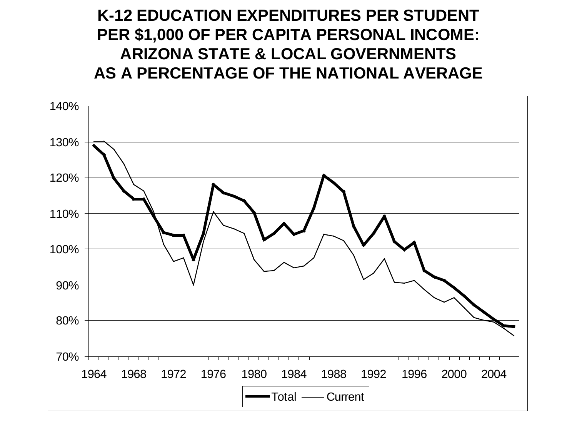#### **K-12 EDUCATION EXPENDITURES PER STUDENT PER \$1,000 OF PER CAPITA PERSONAL INCOME: ARIZONA STATE & LOCAL GOVERNMENTS AS A PERCENTAGE OF THE NATIONAL AVERAGE**

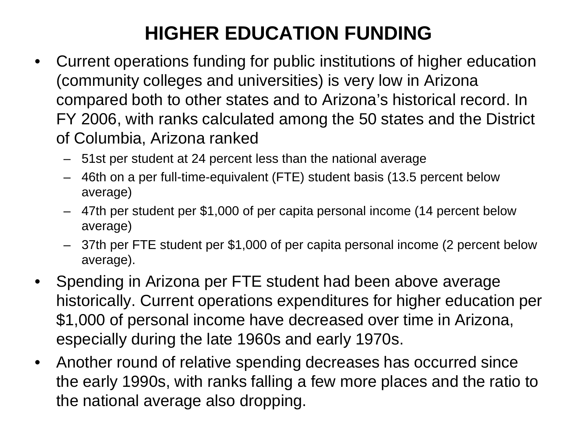#### **HIGHER EDUCATION FUNDING**

- Current operations funding for public institutions of higher education (community colleges and universities) is very low in Arizona compared both to other states and to Arizona's historical record. In FY 2006, with ranks calculated among the 50 states and the District of Columbia, Arizona ranked
	- 51st per student at 24 percent less than the national average
	- 46th on a per full-time-equivalent (FTE) student basis (13.5 percent below average)
	- 47th per student per \$1,000 of per capita personal income (14 percent below average)
	- 37th per FTE student per \$1,000 of per capita personal income (2 percent below average).
- Spending in Arizona per FTE student had been above average historically. Current operations expenditures for higher education per \$1,000 of personal income have decreased over time in Arizona, especially during the late 1960s and early 1970s.
- Another round of relative spending decreases has occurred since the early 1990s, with ranks falling a few more places and the ratio to the national average also dropping.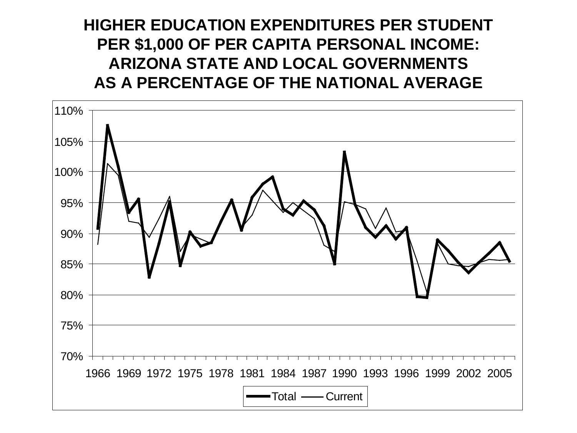#### **HIGHER EDUCATION EXPENDITURES PER STUDENT PER \$1,000 OF PER CAPITA PERSONAL INCOME: ARIZONA STATE AND LOCAL GOVERNMENTS AS A PERCENTAGE OF THE NATIONAL AVERAGE**

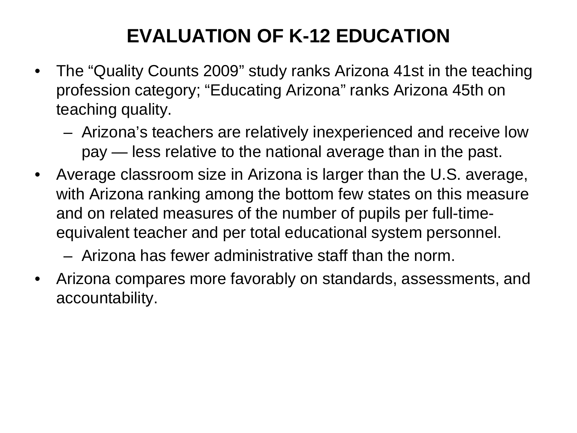# **EVALUATION OF K-12 EDUCATION**

- The "Quality Counts 2009" study ranks Arizona 41st in the teaching profession category; "Educating Arizona" ranks Arizona 45th on teaching quality.
	- Arizona's teachers are relatively inexperienced and receive low pay — less relative to the national average than in the past.
- Average classroom size in Arizona is larger than the U.S. average, with Arizona ranking among the bottom few states on this measure and on related measures of the number of pupils per full-timeequivalent teacher and per total educational system personnel.

– Arizona has fewer administrative staff than the norm.

• Arizona compares more favorably on standards, assessments, and accountability.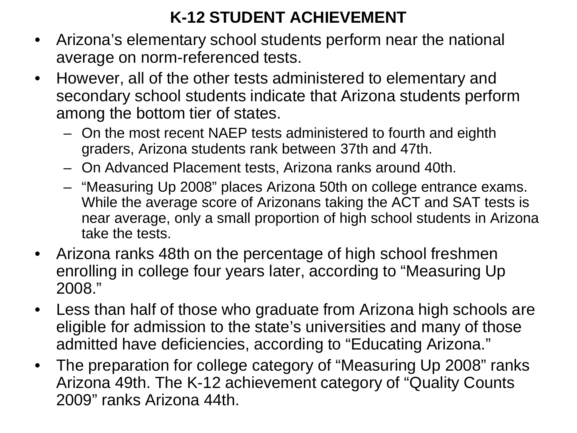#### **K-12 STUDENT ACHIEVEMENT**

- Arizona's elementary school students perform near the national average on norm-referenced tests.
- However, all of the other tests administered to elementary and secondary school students indicate that Arizona students perform among the bottom tier of states.
	- On the most recent NAEP tests administered to fourth and eighth graders, Arizona students rank between 37th and 47th.
	- On Advanced Placement tests, Arizona ranks around 40th.
	- "Measuring Up 2008" places Arizona 50th on college entrance exams. While the average score of Arizonans taking the ACT and SAT tests is near average, only a small proportion of high school students in Arizona take the tests.
- Arizona ranks 48th on the percentage of high school freshmen enrolling in college four years later, according to "Measuring Up 2008."
- Less than half of those who graduate from Arizona high schools are eligible for admission to the state's universities and many of those admitted have deficiencies, according to "Educating Arizona."
- The preparation for college category of "Measuring Up 2008" ranks Arizona 49th. The K-12 achievement category of "Quality Counts 2009" ranks Arizona 44th.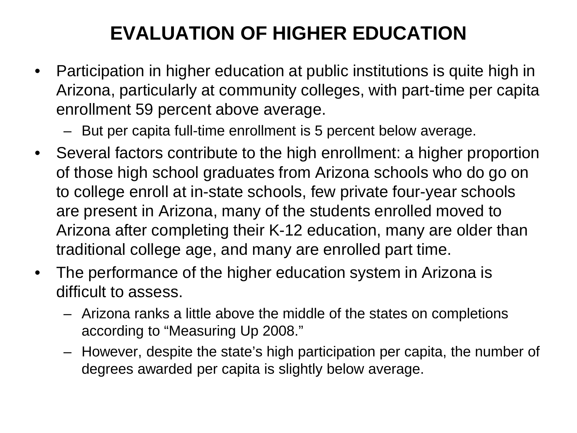# **EVALUATION OF HIGHER EDUCATION**

- Participation in higher education at public institutions is quite high in Arizona, particularly at community colleges, with part-time per capita enrollment 59 percent above average.
	- But per capita full-time enrollment is 5 percent below average.
- Several factors contribute to the high enrollment: a higher proportion of those high school graduates from Arizona schools who do go on to college enroll at in-state schools, few private four-year schools are present in Arizona, many of the students enrolled moved to Arizona after completing their K-12 education, many are older than traditional college age, and many are enrolled part time.
- The performance of the higher education system in Arizona is difficult to assess.
	- Arizona ranks a little above the middle of the states on completions according to "Measuring Up 2008."
	- However, despite the state's high participation per capita, the number of degrees awarded per capita is slightly below average.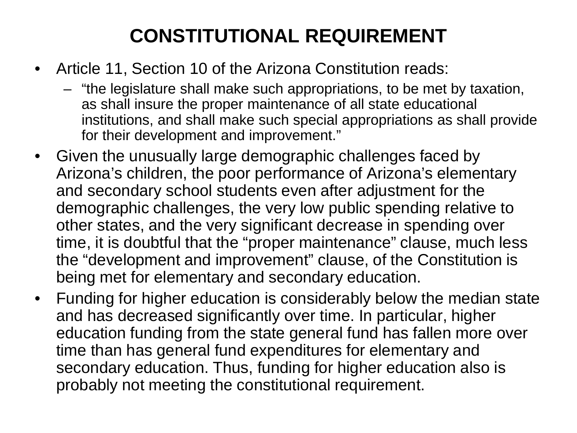# **CONSTITUTIONAL REQUIREMENT**

- Article 11, Section 10 of the Arizona Constitution reads:
	- "the legislature shall make such appropriations, to be met by taxation, as shall insure the proper maintenance of all state educational institutions, and shall make such special appropriations as shall provide for their development and improvement."
- Given the unusually large demographic challenges faced by Arizona's children, the poor performance of Arizona's elementary and secondary school students even after adjustment for the demographic challenges, the very low public spending relative to other states, and the very significant decrease in spending over time, it is doubtful that the "proper maintenance" clause, much less the "development and improvement" clause, of the Constitution is being met for elementary and secondary education.
- Funding for higher education is considerably below the median state and has decreased significantly over time. In particular, higher education funding from the state general fund has fallen more over time than has general fund expenditures for elementary and secondary education. Thus, funding for higher education also is probably not meeting the constitutional requirement.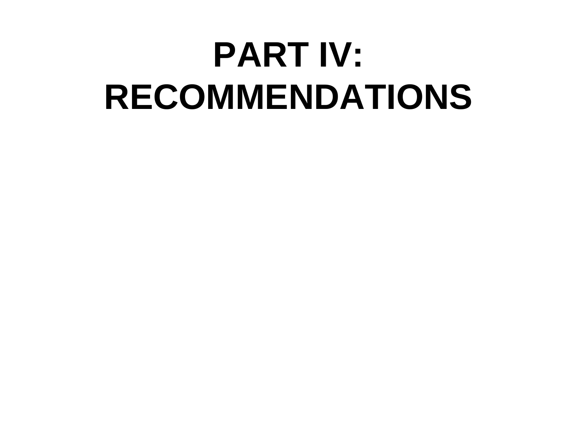# **PART IV: RECOMMENDATIONS**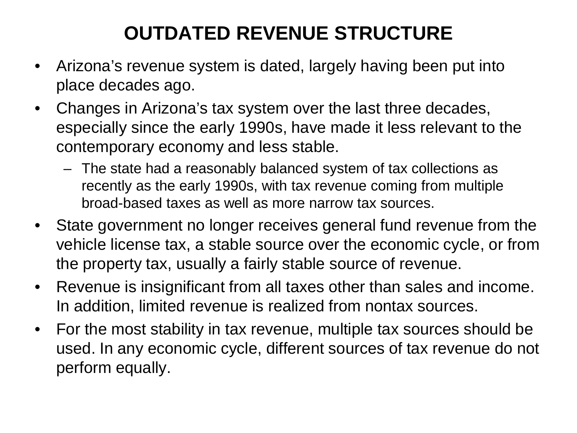# **OUTDATED REVENUE STRUCTURE**

- Arizona's revenue system is dated, largely having been put into place decades ago.
- Changes in Arizona's tax system over the last three decades, especially since the early 1990s, have made it less relevant to the contemporary economy and less stable.
	- The state had a reasonably balanced system of tax collections as recently as the early 1990s, with tax revenue coming from multiple broad-based taxes as well as more narrow tax sources.
- State government no longer receives general fund revenue from the vehicle license tax, a stable source over the economic cycle, or from the property tax, usually a fairly stable source of revenue.
- Revenue is insignificant from all taxes other than sales and income. In addition, limited revenue is realized from nontax sources.
- For the most stability in tax revenue, multiple tax sources should be used. In any economic cycle, different sources of tax revenue do not perform equally.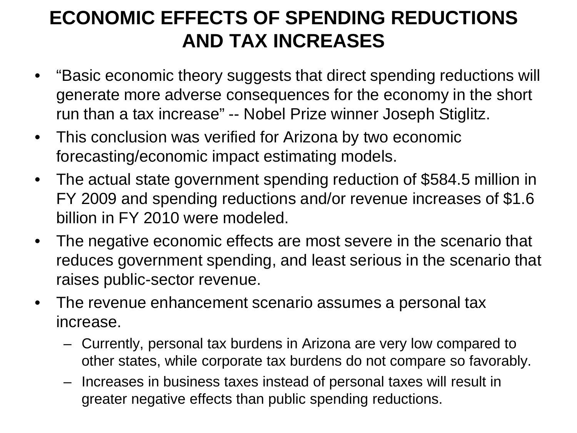#### **ECONOMIC EFFECTS OF SPENDING REDUCTIONS AND TAX INCREASES**

- "Basic economic theory suggests that direct spending reductions will generate more adverse consequences for the economy in the short run than a tax increase" -- Nobel Prize winner Joseph Stiglitz.
- This conclusion was verified for Arizona by two economic forecasting/economic impact estimating models.
- The actual state government spending reduction of \$584.5 million in FY 2009 and spending reductions and/or revenue increases of \$1.6 billion in FY 2010 were modeled.
- The negative economic effects are most severe in the scenario that reduces government spending, and least serious in the scenario that raises public-sector revenue.
- The revenue enhancement scenario assumes a personal tax increase.
	- Currently, personal tax burdens in Arizona are very low compared to other states, while corporate tax burdens do not compare so favorably.
	- Increases in business taxes instead of personal taxes will result in greater negative effects than public spending reductions.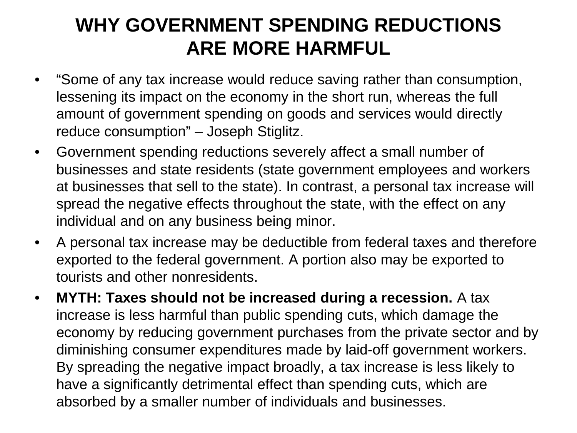#### **WHY GOVERNMENT SPENDING REDUCTIONS ARE MORE HARMFUL**

- "Some of any tax increase would reduce saving rather than consumption, lessening its impact on the economy in the short run, whereas the full amount of government spending on goods and services would directly reduce consumption" – Joseph Stiglitz.
- Government spending reductions severely affect a small number of businesses and state residents (state government employees and workers at businesses that sell to the state). In contrast, a personal tax increase will spread the negative effects throughout the state, with the effect on any individual and on any business being minor.
- A personal tax increase may be deductible from federal taxes and therefore exported to the federal government. A portion also may be exported to tourists and other nonresidents.
- **MYTH: Taxes should not be increased during a recession.** A tax increase is less harmful than public spending cuts, which damage the economy by reducing government purchases from the private sector and by diminishing consumer expenditures made by laid-off government workers. By spreading the negative impact broadly, a tax increase is less likely to have a significantly detrimental effect than spending cuts, which are absorbed by a smaller number of individuals and businesses.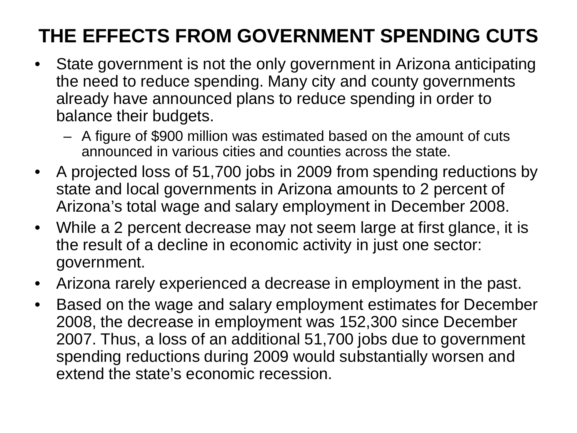# **THE EFFECTS FROM GOVERNMENT SPENDING CUTS**

- State government is not the only government in Arizona anticipating the need to reduce spending. Many city and county governments already have announced plans to reduce spending in order to balance their budgets.
	- A figure of \$900 million was estimated based on the amount of cuts announced in various cities and counties across the state.
- A projected loss of 51,700 jobs in 2009 from spending reductions by state and local governments in Arizona amounts to 2 percent of Arizona's total wage and salary employment in December 2008.
- While a 2 percent decrease may not seem large at first glance, it is the result of a decline in economic activity in just one sector: government.
- Arizona rarely experienced a decrease in employment in the past.
- Based on the wage and salary employment estimates for December 2008, the decrease in employment was 152,300 since December 2007. Thus, a loss of an additional 51,700 jobs due to government spending reductions during 2009 would substantially worsen and extend the state's economic recession.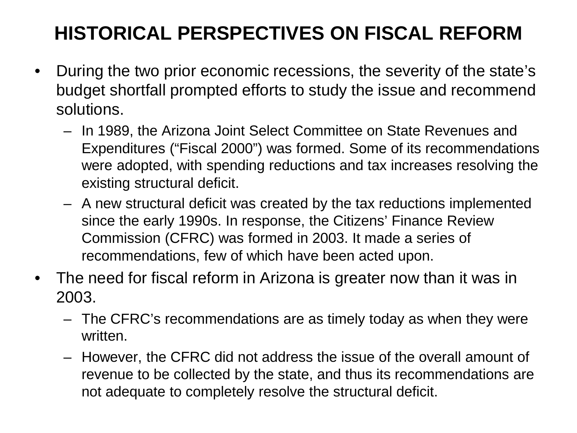## **HISTORICAL PERSPECTIVES ON FISCAL REFORM**

- During the two prior economic recessions, the severity of the state's budget shortfall prompted efforts to study the issue and recommend solutions.
	- In 1989, the Arizona Joint Select Committee on State Revenues and Expenditures ("Fiscal 2000") was formed. Some of its recommendations were adopted, with spending reductions and tax increases resolving the existing structural deficit.
	- A new structural deficit was created by the tax reductions implemented since the early 1990s. In response, the Citizens' Finance Review Commission (CFRC) was formed in 2003. It made a series of recommendations, few of which have been acted upon.
- The need for fiscal reform in Arizona is greater now than it was in 2003.
	- The CFRC's recommendations are as timely today as when they were written.
	- However, the CFRC did not address the issue of the overall amount of revenue to be collected by the state, and thus its recommendations are not adequate to completely resolve the structural deficit.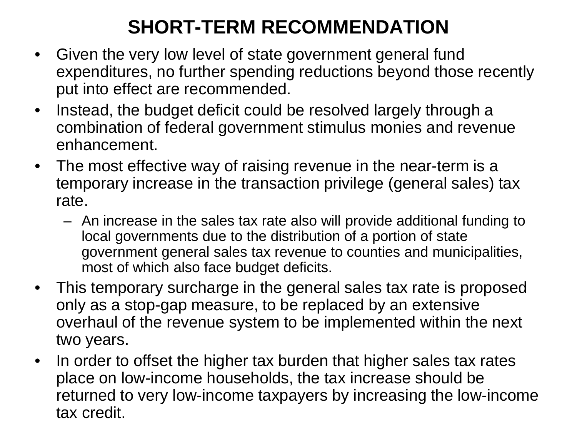# **SHORT-TERM RECOMMENDATION**

- Given the very low level of state government general fund expenditures, no further spending reductions beyond those recently put into effect are recommended.
- Instead, the budget deficit could be resolved largely through a combination of federal government stimulus monies and revenue enhancement.
- The most effective way of raising revenue in the near-term is a temporary increase in the transaction privilege (general sales) tax rate.
	- An increase in the sales tax rate also will provide additional funding to local governments due to the distribution of a portion of state government general sales tax revenue to counties and municipalities, most of which also face budget deficits.
- This temporary surcharge in the general sales tax rate is proposed only as a stop-gap measure, to be replaced by an extensive overhaul of the revenue system to be implemented within the next two years.
- In order to offset the higher tax burden that higher sales tax rates place on low-income households, the tax increase should be returned to very low-income taxpayers by increasing the low-income tax credit.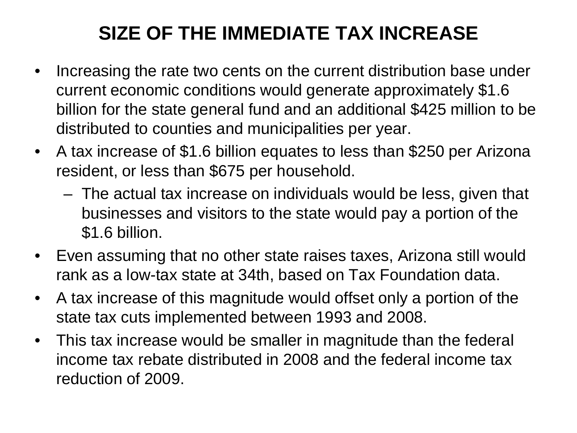## **SIZE OF THE IMMEDIATE TAX INCREASE**

- Increasing the rate two cents on the current distribution base under current economic conditions would generate approximately \$1.6 billion for the state general fund and an additional \$425 million to be distributed to counties and municipalities per year.
- A tax increase of \$1.6 billion equates to less than \$250 per Arizona resident, or less than \$675 per household.
	- The actual tax increase on individuals would be less, given that businesses and visitors to the state would pay a portion of the \$1.6 billion.
- Even assuming that no other state raises taxes, Arizona still would rank as a low-tax state at 34th, based on Tax Foundation data.
- A tax increase of this magnitude would offset only a portion of the state tax cuts implemented between 1993 and 2008.
- This tax increase would be smaller in magnitude than the federal income tax rebate distributed in 2008 and the federal income tax reduction of 2009.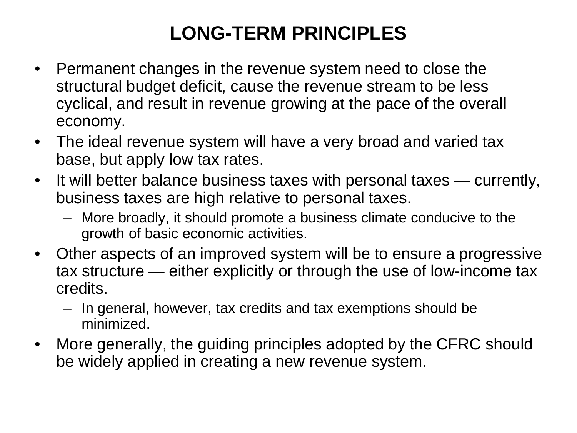### **LONG-TERM PRINCIPLES**

- Permanent changes in the revenue system need to close the structural budget deficit, cause the revenue stream to be less cyclical, and result in revenue growing at the pace of the overall economy.
- The ideal revenue system will have a very broad and varied tax base, but apply low tax rates.
- It will better balance business taxes with personal taxes currently, business taxes are high relative to personal taxes.
	- More broadly, it should promote a business climate conducive to the growth of basic economic activities.
- Other aspects of an improved system will be to ensure a progressive tax structure — either explicitly or through the use of low-income tax credits.
	- In general, however, tax credits and tax exemptions should be minimized.
- More generally, the guiding principles adopted by the CFRC should be widely applied in creating a new revenue system.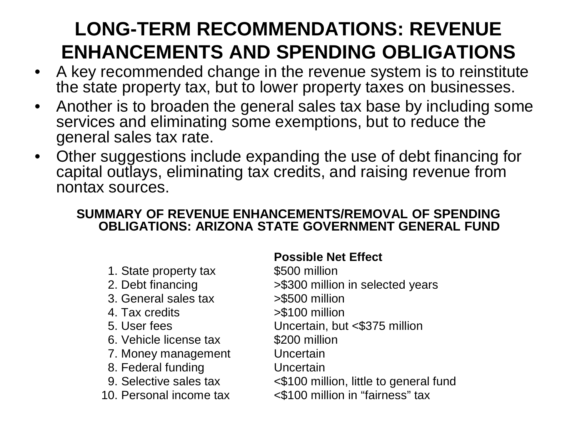# **LONG-TERM RECOMMENDATIONS: REVENUE ENHANCEMENTS AND SPENDING OBLIGATIONS**

- A key recommended change in the revenue system is to reinstitute the state property tax, but to lower property taxes on businesses.
- Another is to broaden the general sales tax base by including some services and eliminating some exemptions, but to reduce the general sales tax rate.
- Other suggestions include expanding the use of debt financing for capital outlays, eliminating tax credits, and raising revenue from nontax sources.

#### **SUMMARY OF REVENUE ENHANCEMENTS/REMOVAL OF SPENDING OBLIGATIONS: ARIZONA STATE GOVERNMENT GENERAL FUND**

#### **Possible Net Effect**

 1. State property tax \$500 million 2. Debt financing  $>$  \$300 million in selected years 3. General sales tax >\$500 million 4. Tax credits >\$100 million 5. User fees Uncertain, but <\$375 million 6. Vehicle license tax \$200 million 7. Money management Uncertain 8. Federal funding Uncertain 9. Selective sales tax <\$100 million, little to general fund 10. Personal income tax <\$100 million in "fairness" tax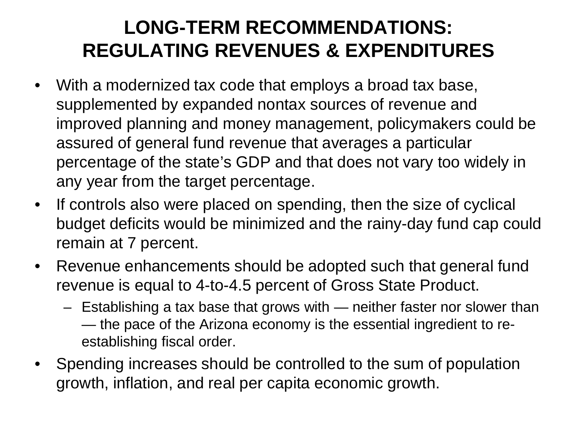#### **LONG-TERM RECOMMENDATIONS: REGULATING REVENUES & EXPENDITURES**

- With a modernized tax code that employs a broad tax base, supplemented by expanded nontax sources of revenue and improved planning and money management, policymakers could be assured of general fund revenue that averages a particular percentage of the state's GDP and that does not vary too widely in any year from the target percentage.
- If controls also were placed on spending, then the size of cyclical budget deficits would be minimized and the rainy-day fund cap could remain at 7 percent.
- Revenue enhancements should be adopted such that general fund revenue is equal to 4-to-4.5 percent of Gross State Product.
	- Establishing a tax base that grows with neither faster nor slower than — the pace of the Arizona economy is the essential ingredient to reestablishing fiscal order.
- Spending increases should be controlled to the sum of population growth, inflation, and real per capita economic growth.